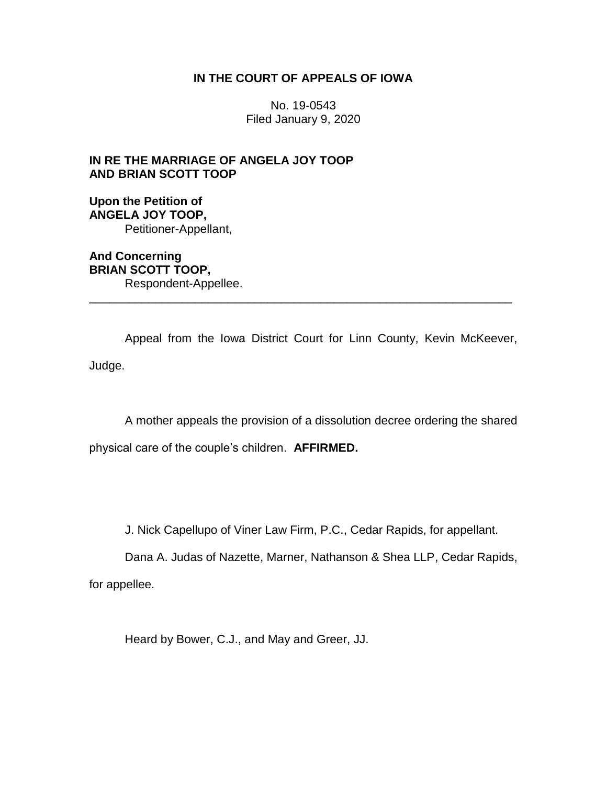## **IN THE COURT OF APPEALS OF IOWA**

No. 19-0543 Filed January 9, 2020

## **IN RE THE MARRIAGE OF ANGELA JOY TOOP AND BRIAN SCOTT TOOP**

**Upon the Petition of ANGELA JOY TOOP,** Petitioner-Appellant,

**And Concerning BRIAN SCOTT TOOP,** Respondent-Appellee. \_\_\_\_\_\_\_\_\_\_\_\_\_\_\_\_\_\_\_\_\_\_\_\_\_\_\_\_\_\_\_\_\_\_\_\_\_\_\_\_\_\_\_\_\_\_\_\_\_\_\_\_\_\_\_\_\_\_\_\_\_\_\_\_

Appeal from the Iowa District Court for Linn County, Kevin McKeever, Judge.

A mother appeals the provision of a dissolution decree ordering the shared physical care of the couple's children. **AFFIRMED.**

J. Nick Capellupo of Viner Law Firm, P.C., Cedar Rapids, for appellant.

Dana A. Judas of Nazette, Marner, Nathanson & Shea LLP, Cedar Rapids,

for appellee.

Heard by Bower, C.J., and May and Greer, JJ.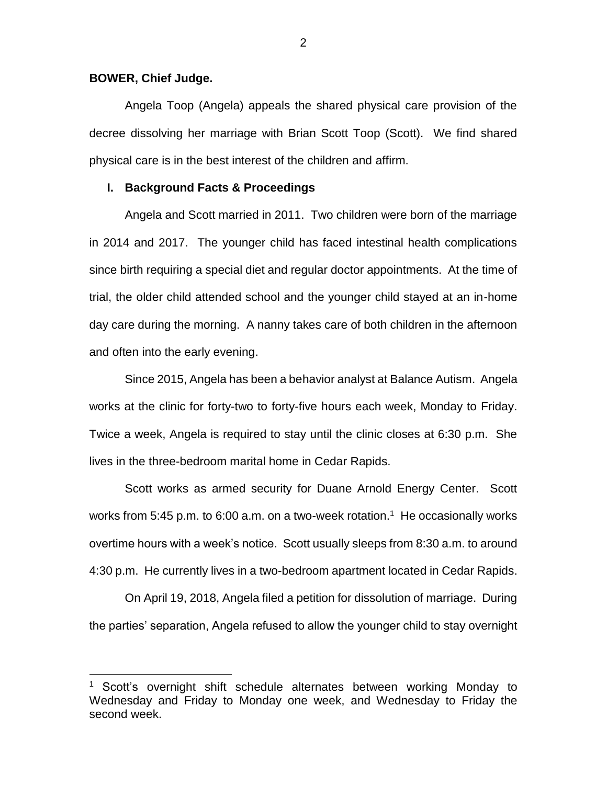#### **BOWER, Chief Judge.**

 $\overline{a}$ 

Angela Toop (Angela) appeals the shared physical care provision of the decree dissolving her marriage with Brian Scott Toop (Scott). We find shared physical care is in the best interest of the children and affirm.

#### **I. Background Facts & Proceedings**

Angela and Scott married in 2011. Two children were born of the marriage in 2014 and 2017. The younger child has faced intestinal health complications since birth requiring a special diet and regular doctor appointments. At the time of trial, the older child attended school and the younger child stayed at an in-home day care during the morning. A nanny takes care of both children in the afternoon and often into the early evening.

Since 2015, Angela has been a behavior analyst at Balance Autism. Angela works at the clinic for forty-two to forty-five hours each week, Monday to Friday. Twice a week, Angela is required to stay until the clinic closes at 6:30 p.m. She lives in the three-bedroom marital home in Cedar Rapids.

Scott works as armed security for Duane Arnold Energy Center. Scott works from 5:45 p.m. to 6:00 a.m. on a two-week rotation.<sup>1</sup> He occasionally works overtime hours with a week's notice. Scott usually sleeps from 8:30 a.m. to around 4:30 p.m. He currently lives in a two-bedroom apartment located in Cedar Rapids.

On April 19, 2018, Angela filed a petition for dissolution of marriage. During the parties' separation, Angela refused to allow the younger child to stay overnight

Scott's overnight shift schedule alternates between working Monday to Wednesday and Friday to Monday one week, and Wednesday to Friday the second week.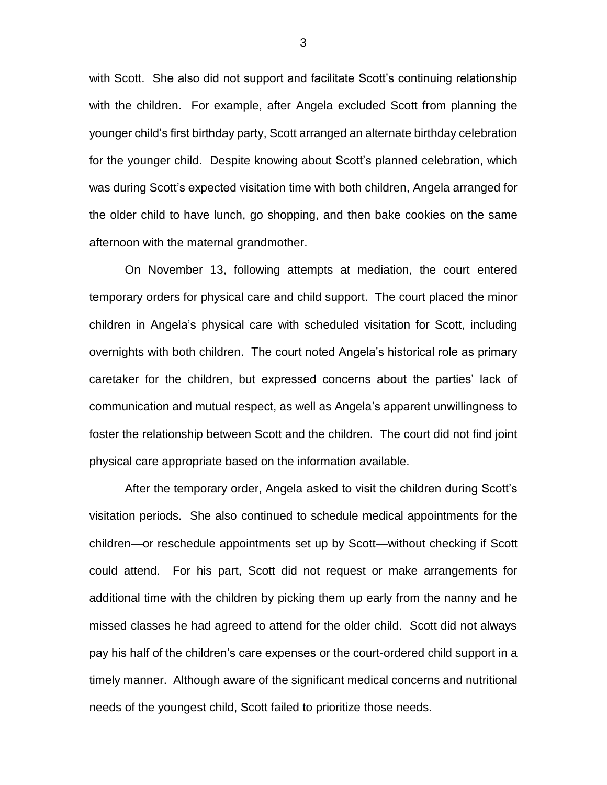with Scott. She also did not support and facilitate Scott's continuing relationship with the children. For example, after Angela excluded Scott from planning the younger child's first birthday party, Scott arranged an alternate birthday celebration for the younger child. Despite knowing about Scott's planned celebration, which was during Scott's expected visitation time with both children, Angela arranged for the older child to have lunch, go shopping, and then bake cookies on the same afternoon with the maternal grandmother.

On November 13, following attempts at mediation, the court entered temporary orders for physical care and child support. The court placed the minor children in Angela's physical care with scheduled visitation for Scott, including overnights with both children. The court noted Angela's historical role as primary caretaker for the children, but expressed concerns about the parties' lack of communication and mutual respect, as well as Angela's apparent unwillingness to foster the relationship between Scott and the children. The court did not find joint physical care appropriate based on the information available.

After the temporary order, Angela asked to visit the children during Scott's visitation periods. She also continued to schedule medical appointments for the children—or reschedule appointments set up by Scott—without checking if Scott could attend. For his part, Scott did not request or make arrangements for additional time with the children by picking them up early from the nanny and he missed classes he had agreed to attend for the older child. Scott did not always pay his half of the children's care expenses or the court-ordered child support in a timely manner. Although aware of the significant medical concerns and nutritional needs of the youngest child, Scott failed to prioritize those needs.

3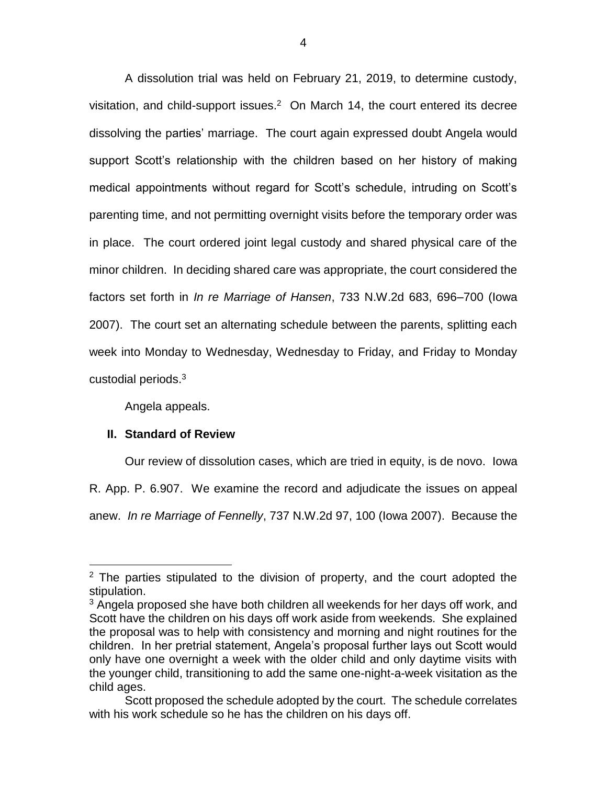A dissolution trial was held on February 21, 2019, to determine custody, visitation, and child-support issues. $2$  On March 14, the court entered its decree dissolving the parties' marriage. The court again expressed doubt Angela would support Scott's relationship with the children based on her history of making medical appointments without regard for Scott's schedule, intruding on Scott's parenting time, and not permitting overnight visits before the temporary order was in place. The court ordered joint legal custody and shared physical care of the minor children. In deciding shared care was appropriate, the court considered the factors set forth in *In re Marriage of Hansen*, 733 N.W.2d 683, 696–700 (Iowa 2007). The court set an alternating schedule between the parents, splitting each week into Monday to Wednesday, Wednesday to Friday, and Friday to Monday custodial periods.<sup>3</sup>

Angela appeals.

### **II. Standard of Review**

 $\overline{a}$ 

Our review of dissolution cases, which are tried in equity, is de novo. Iowa

R. App. P. 6.907. We examine the record and adjudicate the issues on appeal

anew. *In re Marriage of Fennelly*, 737 N.W.2d 97, 100 (Iowa 2007). Because the

 $2$  The parties stipulated to the division of property, and the court adopted the stipulation.

 $3$  Angela proposed she have both children all weekends for her days off work, and Scott have the children on his days off work aside from weekends. She explained the proposal was to help with consistency and morning and night routines for the children. In her pretrial statement, Angela's proposal further lays out Scott would only have one overnight a week with the older child and only daytime visits with the younger child, transitioning to add the same one-night-a-week visitation as the child ages.

Scott proposed the schedule adopted by the court. The schedule correlates with his work schedule so he has the children on his days off.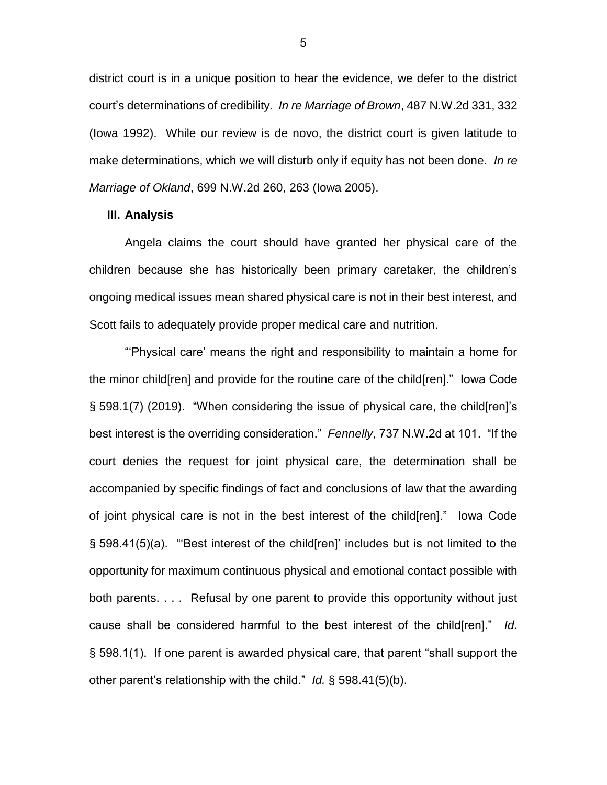district court is in a unique position to hear the evidence, we defer to the district court's determinations of credibility. *In re Marriage of Brown*, 487 N.W.2d 331, 332 (Iowa 1992). While our review is de novo, the district court is given latitude to make determinations, which we will disturb only if equity has not been done. *In re Marriage of Okland*, 699 N.W.2d 260, 263 (Iowa 2005).

#### **III. Analysis**

Angela claims the court should have granted her physical care of the children because she has historically been primary caretaker, the children's ongoing medical issues mean shared physical care is not in their best interest, and Scott fails to adequately provide proper medical care and nutrition.

"'Physical care' means the right and responsibility to maintain a home for the minor child[ren] and provide for the routine care of the child[ren]." Iowa Code § 598.1(7) (2019). "When considering the issue of physical care, the child[ren]'s best interest is the overriding consideration." *Fennelly*, 737 N.W.2d at 101. "If the court denies the request for joint physical care, the determination shall be accompanied by specific findings of fact and conclusions of law that the awarding of joint physical care is not in the best interest of the child[ren]." Iowa Code § 598.41(5)(a). "'Best interest of the child[ren]' includes but is not limited to the opportunity for maximum continuous physical and emotional contact possible with both parents. . . . Refusal by one parent to provide this opportunity without just cause shall be considered harmful to the best interest of the child[ren]." *Id.* § 598.1(1). If one parent is awarded physical care, that parent "shall support the other parent's relationship with the child." *Id.* § 598.41(5)(b).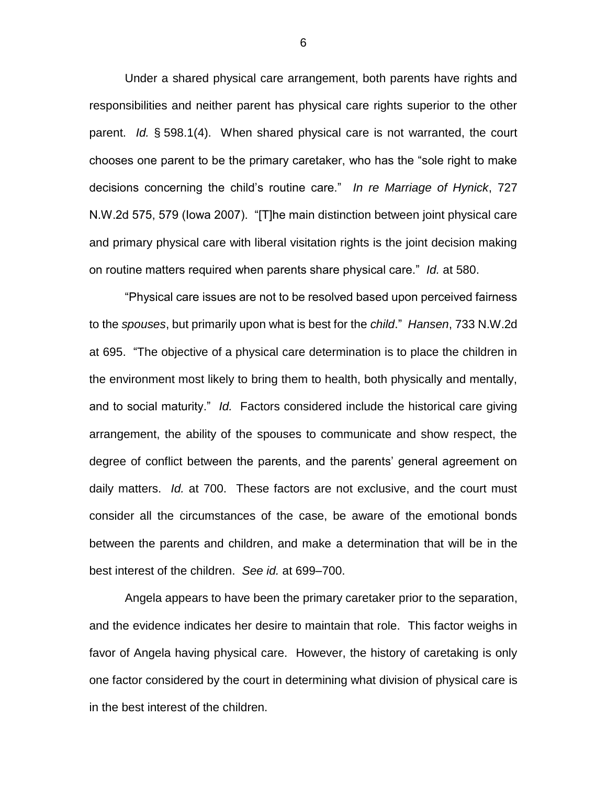Under a shared physical care arrangement, both parents have rights and responsibilities and neither parent has physical care rights superior to the other parent. *Id.* § 598.1(4). When shared physical care is not warranted, the court chooses one parent to be the primary caretaker, who has the "sole right to make decisions concerning the child's routine care." *In re Marriage of Hynick*, 727 N.W.2d 575, 579 (Iowa 2007). "[T]he main distinction between joint physical care and primary physical care with liberal visitation rights is the joint decision making on routine matters required when parents share physical care." *Id.* at 580.

"Physical care issues are not to be resolved based upon perceived fairness to the *spouses*, but primarily upon what is best for the *child*." *Hansen*, 733 N.W.2d at 695. "The objective of a physical care determination is to place the children in the environment most likely to bring them to health, both physically and mentally, and to social maturity." *Id.* Factors considered include the historical care giving arrangement, the ability of the spouses to communicate and show respect, the degree of conflict between the parents, and the parents' general agreement on daily matters. *Id.* at 700. These factors are not exclusive, and the court must consider all the circumstances of the case, be aware of the emotional bonds between the parents and children, and make a determination that will be in the best interest of the children. *See id.* at 699–700.

Angela appears to have been the primary caretaker prior to the separation, and the evidence indicates her desire to maintain that role. This factor weighs in favor of Angela having physical care. However, the history of caretaking is only one factor considered by the court in determining what division of physical care is in the best interest of the children.

6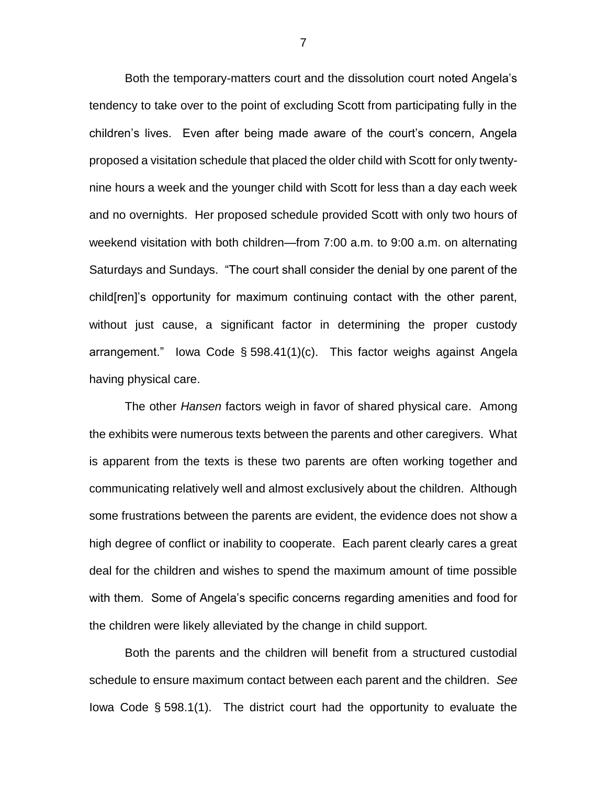Both the temporary-matters court and the dissolution court noted Angela's tendency to take over to the point of excluding Scott from participating fully in the children's lives. Even after being made aware of the court's concern, Angela proposed a visitation schedule that placed the older child with Scott for only twentynine hours a week and the younger child with Scott for less than a day each week and no overnights. Her proposed schedule provided Scott with only two hours of weekend visitation with both children—from 7:00 a.m. to 9:00 a.m. on alternating Saturdays and Sundays. "The court shall consider the denial by one parent of the child[ren]'s opportunity for maximum continuing contact with the other parent, without just cause, a significant factor in determining the proper custody arrangement." Iowa Code § 598.41(1)(c). This factor weighs against Angela having physical care.

The other *Hansen* factors weigh in favor of shared physical care. Among the exhibits were numerous texts between the parents and other caregivers. What is apparent from the texts is these two parents are often working together and communicating relatively well and almost exclusively about the children. Although some frustrations between the parents are evident, the evidence does not show a high degree of conflict or inability to cooperate. Each parent clearly cares a great deal for the children and wishes to spend the maximum amount of time possible with them. Some of Angela's specific concerns regarding amenities and food for the children were likely alleviated by the change in child support.

Both the parents and the children will benefit from a structured custodial schedule to ensure maximum contact between each parent and the children. *See*  Iowa Code § 598.1(1). The district court had the opportunity to evaluate the

7